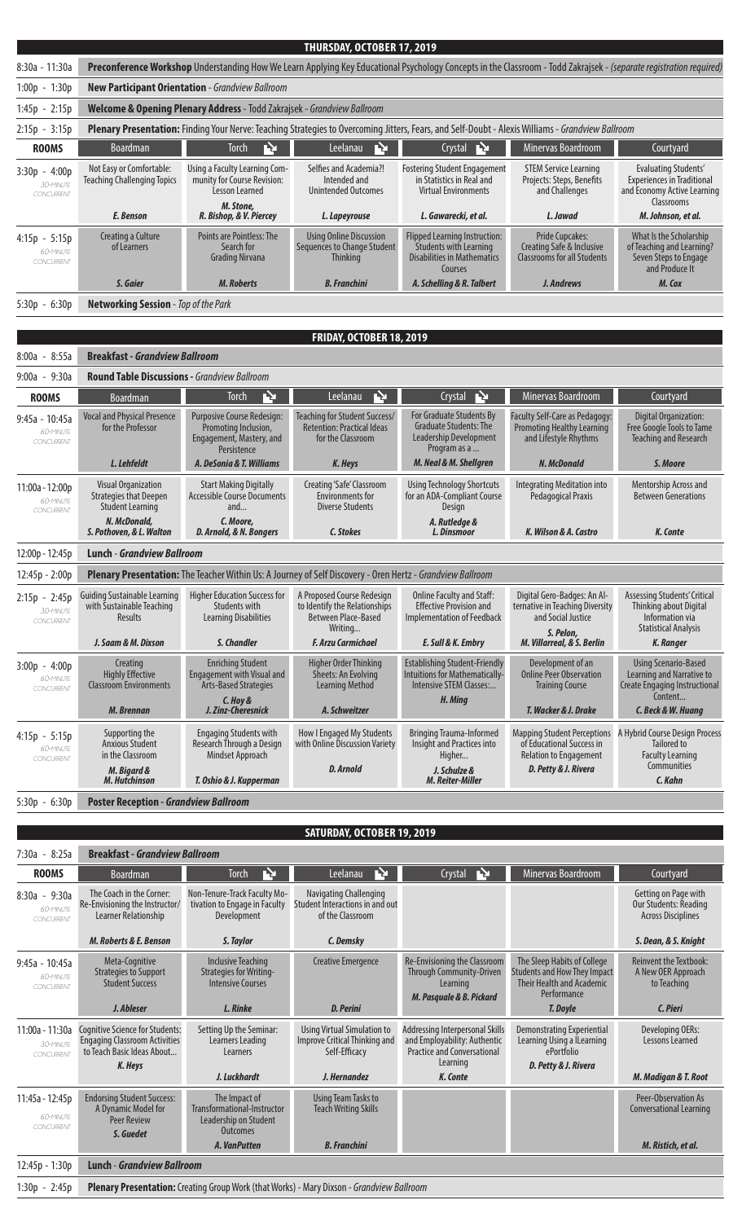|                                            |                                                                                                                                                                     |                                                                                                                                                   | THURSDAY, OCTOBER 17, 2019                                                                    |                                                                                                                        |                                                                                                   |                                                                                                               |
|--------------------------------------------|---------------------------------------------------------------------------------------------------------------------------------------------------------------------|---------------------------------------------------------------------------------------------------------------------------------------------------|-----------------------------------------------------------------------------------------------|------------------------------------------------------------------------------------------------------------------------|---------------------------------------------------------------------------------------------------|---------------------------------------------------------------------------------------------------------------|
| 8:30a - 11:30a                             | Preconference Workshop Understanding How We Learn Applying Key Educational Psychology Concepts in the Classroom - Todd Zakrajsek - (separate registration required) |                                                                                                                                                   |                                                                                               |                                                                                                                        |                                                                                                   |                                                                                                               |
| 1:00p - 1:30p                              | New Participant Orientation - Grandview Ballroom                                                                                                                    |                                                                                                                                                   |                                                                                               |                                                                                                                        |                                                                                                   |                                                                                                               |
| $1:45p - 2:15p$                            | Welcome & Opening Plenary Address - Todd Zakrajsek - Grandview Ballroom                                                                                             |                                                                                                                                                   |                                                                                               |                                                                                                                        |                                                                                                   |                                                                                                               |
| $2:15p - 3:15p$                            |                                                                                                                                                                     | Plenary Presentation: Finding Your Nerve: Teaching Strategies to Overcoming Jitters, Fears, and Self-Doubt - Alexis Williams - Grandview Ballroom |                                                                                               |                                                                                                                        |                                                                                                   |                                                                                                               |
| <b>ROOMS</b>                               | Boardman                                                                                                                                                            | Ŋ<br><b>Torch</b>                                                                                                                                 | Ŀ<br>Leelanau                                                                                 | Ņ<br>Crystal                                                                                                           | Minervas Boardroom                                                                                | Courtyard                                                                                                     |
| $3:30p - 4:00p$<br>30-MINUTE<br>CONCURRENT | Not Easy or Comfortable:<br><b>Teaching Challenging Topics</b>                                                                                                      | Using a Faculty Learning Com-<br>munity for Course Revision:<br>Lesson Learned                                                                    | Selfies and Academia?!<br>Intended and<br><b>Unintended Outcomes</b>                          | <b>Fostering Student Engagement</b><br>in Statistics in Real and<br><b>Virtual Environments</b>                        | <b>STEM Service Learning</b><br>Projects: Steps, Benefits<br>and Challenges                       | <b>Evaluating Students'</b><br><b>Experiences in Traditional</b><br>and Economy Active Learning<br>Classrooms |
|                                            | E. Benson                                                                                                                                                           | M. Stone,<br>R. Bishop, & V. Piercey                                                                                                              | L. Lapeyrouse                                                                                 | L. Gawarecki, et al.                                                                                                   | L. Jawad                                                                                          | M. Johnson, et al.                                                                                            |
| $4:15p - 5:15p$<br>60-MINUTE<br>CONCURRENT | Creating a Culture<br>of Learners                                                                                                                                   | <b>Points are Pointless: The</b><br>Search for<br><b>Grading Nirvana</b>                                                                          | <b>Using Online Discussion</b><br>Sequences to Change Student<br>Thinking                     | <b>Flipped Learning Instruction:</b><br><b>Students with Learning</b><br><b>Disabilities in Mathematics</b><br>Courses | <b>Pride Cupcakes:</b><br>Creating Safe & Inclusive<br><b>Classrooms for all Students</b>         | What Is the Scholarship<br>of Teaching and Learning?<br>Seven Steps to Engage<br>and Produce It               |
|                                            | S. Gaier                                                                                                                                                            | <b>M. Roberts</b>                                                                                                                                 | <b>B.</b> Franchini                                                                           | A. Schelling & R. Talbert                                                                                              | J. Andrews                                                                                        | M. Cox                                                                                                        |
| $5:30p - 6:30p$                            | Networking Session - Top of the Park                                                                                                                                |                                                                                                                                                   |                                                                                               |                                                                                                                        |                                                                                                   |                                                                                                               |
|                                            |                                                                                                                                                                     |                                                                                                                                                   | FRIDAY, OCTOBER 18, 2019                                                                      |                                                                                                                        |                                                                                                   |                                                                                                               |
| $8:00a - 8:55a$                            | <b>Breakfast - Grandview Ballroom</b>                                                                                                                               |                                                                                                                                                   |                                                                                               |                                                                                                                        |                                                                                                   |                                                                                                               |
| $9:00a - 9:30a$                            | <b>Round Table Discussions - Grandview Ballroom</b>                                                                                                                 |                                                                                                                                                   |                                                                                               |                                                                                                                        |                                                                                                   |                                                                                                               |
| <b>ROOMS</b>                               | Boardman                                                                                                                                                            | Ņ<br><b>Torch</b>                                                                                                                                 | Ņ<br>Leelanau                                                                                 | Ņ<br>Crystal                                                                                                           | Minervas Boardroom                                                                                | Courtyard                                                                                                     |
| 9:45a - 10:45a<br>60-MINUTE<br>CONCURRENT  | <b>Vocal and Physical Presence</b><br>for the Professor                                                                                                             | Purposive Course Redesign:<br>Promoting Inclusion,<br>Engagement, Mastery, and<br>Persistence                                                     | Teaching for Student Success/<br><b>Retention: Practical Ideas</b><br>for the Classroom       | <b>For Graduate Students By</b><br><b>Graduate Students: The</b><br><b>Leadership Development</b><br>Program as a      | Faculty Self-Care as Pedagogy:<br><b>Promoting Healthy Learning</b><br>and Lifestyle Rhythms      | Digital Organization:<br>Free Google Tools to Tame<br>Teaching and Research                                   |
|                                            | L. Lehfeldt                                                                                                                                                         | A. DeSonia & T. Williams                                                                                                                          | K. Heys                                                                                       | M. Neal & M. Shellgren                                                                                                 | N. McDonald                                                                                       | S. Moore                                                                                                      |
| 11:00a - 12:00p<br>60-MINUTE<br>CONCURRENT | <b>Visual Organization</b><br><b>Strategies that Deepen</b><br><b>Student Learning</b>                                                                              | <b>Start Making Digitally</b><br><b>Accessible Course Documents</b><br>and                                                                        | Creating 'Safe' Classroom<br><b>Environments for</b><br><b>Diverse Students</b>               | <b>Using Technology Shortcuts</b><br>for an ADA-Compliant Course<br><b>Design</b>                                      | <b>Integrating Meditation into</b><br><b>Pedagogical Praxis</b>                                   | Mentorship Across and<br><b>Between Generations</b>                                                           |
|                                            | N. McDonald,<br>S. Pothoven, & L. Walton                                                                                                                            | C. Moore,<br>D. Arnold, & N. Bongers                                                                                                              | C. Stokes                                                                                     | A. Rutledge &<br>L. Dinsmoor                                                                                           | K. Wilson & A. Castro                                                                             | K. Conte                                                                                                      |
| 12:00p - 12:45p                            | <b>Lunch - Grandview Ballroom</b>                                                                                                                                   |                                                                                                                                                   |                                                                                               |                                                                                                                        |                                                                                                   |                                                                                                               |
| 12:45p - 2:00p                             | Plenary Presentation: The Teacher Within Us: A Journey of Self Discovery - Oren Hertz - Grandview Ballroom                                                          |                                                                                                                                                   |                                                                                               |                                                                                                                        |                                                                                                   |                                                                                                               |
| $2:15p - 2:45p$<br>30-MINUTE<br>CONCURRENT | <b>Guiding Sustainable Learning</b><br>with Sustainable Teaching<br>Results                                                                                         | <b>Higher Education Success for</b><br>Students with<br><b>Learning Disabilities</b>                                                              | A Proposed Course Redesign<br>to Identify the Relationships<br>Between Place-Based<br>Writing | Online Faculty and Staff:<br><b>Effective Provision and</b><br>Implementation of Feedback                              | Digital Gero-Badges: An Al-<br>ternative in Teaching Diversity<br>and Social Justice<br>S. Pelon, | Assessing Students' Critical<br>Thinking about Digital<br>Information via<br><b>Statistical Analysis</b>      |
|                                            | J. Saam & M. Dixson                                                                                                                                                 | S. Chandler                                                                                                                                       | <b>F. Arzu Carmichael</b>                                                                     | E. Sull & K. Embry                                                                                                     | M. Villarreal, & S. Berlin                                                                        | <b>K. Ranger</b>                                                                                              |
| $3:00p - 4:00p$<br>60-MINUTE<br>CONCURRENT | Creating<br><b>Highly Effective</b><br><b>Classroom Environments</b>                                                                                                | <b>Enriching Student</b><br><b>Engagement with Visual and</b><br><b>Arts-Based Strategies</b><br>C. Hov &                                         | Higher Order Thinking<br>Sheets: An Evolving<br><b>Learning Method</b>                        | <b>Establishing Student-Friendly</b><br>Intuitions for Mathematically-<br>Intensive STEM Classes:<br>H. Ming           | Development of an<br><b>Online Peer Observation</b><br><b>Training Course</b>                     | <b>Using Scenario-Based</b><br>Learning and Narrative to<br><b>Create Engaging Instructional</b><br>Content   |

| 60-MINUTE<br>CONCURRENT                    | $\frac{1}{2}$<br><b>Classroom Environments</b><br>M. Brennan                          | Linguagentent With Wisaur and<br>Arts-Based Strategies<br>C. Hov &<br>J. Zinz-Cheresnick                  | <b>JULLO, INLEYVIVIII</b><br><b>Learning Method</b><br>A. Schweitzer     | <u>INGLISHED IST MUSIC CITY</u><br>Intensive STEM Classes:<br>H. Ming                                              | <b>VIIIIII</b> L LLIVOULIVUUVII<br><b>Training Course</b><br>T. Wacker & J. Drake  | <b>ECULIBILY UNIVERSITY</b><br>Create Engaging Instructional<br>Content<br>C. Beck & W. Huang                                  |
|--------------------------------------------|---------------------------------------------------------------------------------------|-----------------------------------------------------------------------------------------------------------|--------------------------------------------------------------------------|--------------------------------------------------------------------------------------------------------------------|------------------------------------------------------------------------------------|--------------------------------------------------------------------------------------------------------------------------------|
| $4:15p - 5:15p$<br>60-MINUTE<br>CONCURRENT | Supporting the<br>Anxious Student<br>in the Classroom<br>M. Bigard &<br>M. Hutchinson | <b>Engaging Students with</b><br>Research Through a Design<br>Mindset Approach<br>T. Oshio & J. Kupperman | How I Engaged My Students<br>with Online Discussion Variety<br>D. Arnold | <b>Bringing Trauma-Informed</b><br>Insight and Practices into<br>Higher<br>J. Schulze &<br><b>M. Reiter-Miller</b> | of Educational Success in<br><b>Relation to Engagement</b><br>D. Petty & J. Rivera | Mapping Student Perceptions A Hybrid Course Design Process<br>Tailored to<br><b>Faculty Learning</b><br>Communities<br>C. Kahn |

5:30p - 6:30p **Poster Reception -** *Grandview Ballroom*

## **SATURDAY, OCTOBER 19, 2019**

| $7:30a - 8:25a$                             | <b>Breakfast - Grandview Ballroom</b>                                                                            |                                                                                          |                                                                                      |                                                                                                                   |                                                                                                                       |                                                                                   |
|---------------------------------------------|------------------------------------------------------------------------------------------------------------------|------------------------------------------------------------------------------------------|--------------------------------------------------------------------------------------|-------------------------------------------------------------------------------------------------------------------|-----------------------------------------------------------------------------------------------------------------------|-----------------------------------------------------------------------------------|
| <b>ROOMS</b>                                | <b>Boardman</b>                                                                                                  | <b>Torch</b><br>ГY                                                                       | Leelanau<br>ГΣ                                                                       | Ņ<br>Crystal                                                                                                      | Minervas Boardroom                                                                                                    | Courtyard                                                                         |
| $8:30a - 9:30a$<br>60-MINUTE<br>CONCURRENT  | The Coach in the Corner:<br>Re-Envisioning the Instructor/<br>Learner Relationship                               | Non-Tenure-Track Faculty Mo-<br>tivation to Engage in Faculty<br>Development             | Navigating Challenging<br>Student Interactions in and out<br>of the Classroom        |                                                                                                                   |                                                                                                                       | Getting on Page with<br><b>Our Students: Reading</b><br><b>Across Disciplines</b> |
|                                             | M. Roberts & E. Benson                                                                                           | S. Taylor                                                                                | C. Demsky                                                                            |                                                                                                                   |                                                                                                                       | S. Dean, & S. Knight                                                              |
| $9:45a - 10:45a$<br>60-MINUTE<br>CONCURRENT | Meta-Cognitive<br><b>Strategies to Support</b><br><b>Student Success</b>                                         | <b>Inclusive Teaching</b><br><b>Strategies for Writing-</b><br><b>Intensive Courses</b>  | <b>Creative Emergence</b>                                                            | Re-Envisioning the Classroom<br><b>Through Community-Driven</b><br>Learning<br>M. Pasquale & B. Pickard           | The Sleep Habits of College<br><b>Students and How They Impact</b><br><b>Their Health and Academic</b><br>Performance | <b>Reinvent the Textbook:</b><br>A New OER Approach<br>to Teaching                |
|                                             | J. Ableser                                                                                                       | L. Rinke                                                                                 | <b>D. Perini</b>                                                                     |                                                                                                                   | T. Doyle                                                                                                              | C. Pieri                                                                          |
| 11:00a - 11:30a<br>30-MINUTE<br>CONCURRENT  | Cognitive Science for Students:<br><b>Engaging Classroom Activities</b><br>to Teach Basic Ideas About<br>K. Heys | Setting Up the Seminar:<br>Learners Leading<br>Learners                                  | <b>Using Virtual Simulation to</b><br>Improve Critical Thinking and<br>Self-Efficacy | Addressing Interpersonal Skills<br>and Employability: Authentic<br><b>Practice and Conversational</b><br>Learning | <b>Demonstrating Experiential</b><br>Learning Using a ILearning<br>ePortfolio<br>D. Petty & J. Rivera                 | Developing OERs:<br>Lessons Learned                                               |
|                                             |                                                                                                                  | J. Luckhardt                                                                             | J. Hernandez                                                                         | K. Conte                                                                                                          |                                                                                                                       | M. Madigan & T. Root                                                              |
| 11:45a - 12:45p<br>60-MINUTE<br>CONCURRENT  | <b>Endorsing Student Success:</b><br>A Dynamic Model for<br><b>Peer Review</b><br>S. Guedet                      | The Impact of<br>Transformational-Instructor<br>Leadership on Student<br><b>Outcomes</b> | <b>Using Team Tasks to</b><br><b>Teach Writing Skills</b>                            |                                                                                                                   |                                                                                                                       | Peer-Observation As<br><b>Conversational Learning</b>                             |
|                                             |                                                                                                                  | A. VanPutten                                                                             | <b>B.</b> Franchini                                                                  |                                                                                                                   |                                                                                                                       | M. Ristich, et al.                                                                |
| 12:45p - 1:30p                              | <b>Lunch - Grandview Ballroom</b>                                                                                |                                                                                          |                                                                                      |                                                                                                                   |                                                                                                                       |                                                                                   |
| 1:30p - 2:45p                               | Plenary Presentation: Creating Group Work (that Works) - Mary Dixson - Grandview Ballroom                        |                                                                                          |                                                                                      |                                                                                                                   |                                                                                                                       |                                                                                   |